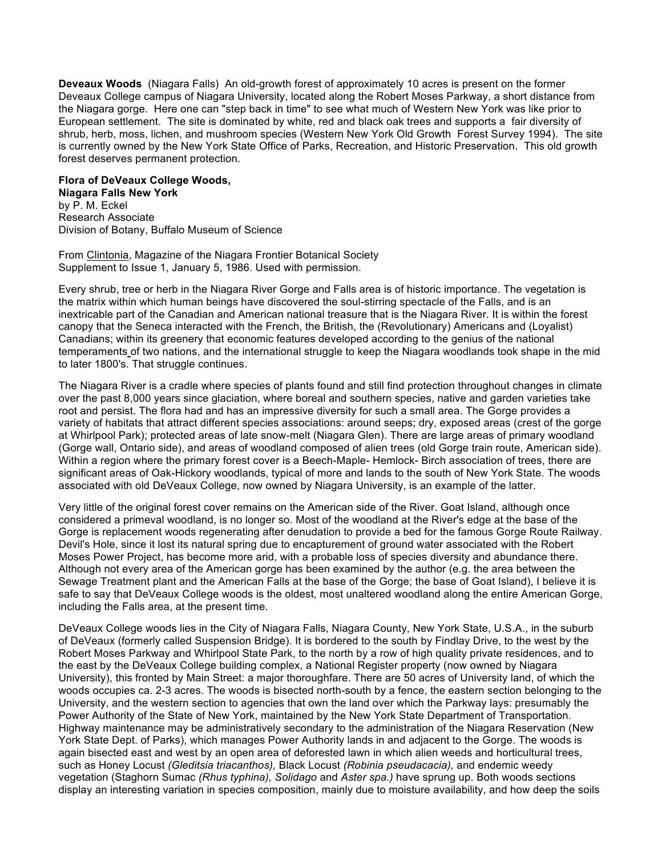**Deveaux Woods** (Niagara Falls) An old-growth forest of approximately 10 acres is present on the former Deveaux College campus of Niagara University, located along the Robert Moses Parkway, a short distance from the Niagara gorge. Here one can "step back in time" to see what much of Western New York was like prior to European settlement. The site is dominated by white, red and black oak trees and supports a fair diversity of shrub, herb, moss, lichen, and mushroom species (Western New York Old Growth Forest Survey 1994). The site is currently owned by the New York State Office of Parks, Recreation, and Historic Preservation. This old growth forest deserves permanent protection.

## **Flora of DeVeaux College Woods,**

**Niagara Falls New York** by P. M. Eckel Research Associate Division of Botany, Buffalo Museum of Science

From Clintonia, Magazine of the Niagara Frontier Botanical Society Supplement to Issue 1, January 5, 1986. Used with permission.

Every shrub, tree or herb in the Niagara River Gorge and Falls area is of historic importance. The vegetation is the matrix within which human beings have discovered the soul-stirring spectacle of the Falls, and is an inextricable part of the Canadian and American national treasure that is the Niagara River. It is within the forest canopy that the Seneca interacted with the French, the British, the (Revolutionary) Americans and (Loyalist) Canadians; within its greenery that economic features developed according to the genius of the national temperaments of two nations, and the international struggle to keep the Niagara woodlands took shape in the mid to later 1800's. That struggle continues.

The Niagara River is a cradle where species of plants found and still find protection throughout changes in climate over the past 8,000 years since glaciation, where boreal and southern species, native and garden varieties take root and persist. The flora had and has an impressive diversity for such a small area. The Gorge provides a variety of habitats that attract different species associations: around seeps; dry, exposed areas (crest of the gorge at Whirlpool Park); protected areas of late snow-melt (Niagara Glen). There are large areas of primary woodland (Gorge wall, Ontario side), and areas of woodland composed of alien trees (old Gorge train route, American side). Within a region where the primary forest cover is a Beech-Maple- Hemlock- Birch association of trees, there are significant areas of Oak-Hickory woodlands, typical of more and lands to the south of New York State. The woods associated with old DeVeaux College, now owned by Niagara University, is an example of the latter.

Very little of the original forest cover remains on the American side of the River. Goat Island, although once considered a primeval woodland, is no longer so. Most of the woodland at the River's edge at the base of the Gorge is replacement woods regenerating after denudation to provide a bed for the famous Gorge Route Railway. Devil's Hole, since it lost its natural spring due to encapturement of ground water associated with the Robert Moses Power Project, has become more arid, with a probable loss of species diversity and abundance there. Although not every area of the American gorge has been examined by the author (e.g. the area between the Sewage Treatment plant and the American Falls at the base of the Gorge; the base of Goat Island), I believe it is safe to say that DeVeaux College woods is the oldest, most unaltered woodland along the entire American Gorge, including the Falls area, at the present time.

DeVeaux College woods lies in the City of Niagara Falls, Niagara County, New York State, U.S.A., in the suburb of DeVeaux (formerly called Suspension Bridge). It is bordered to the south by Findlay Drive, to the west by the Robert Moses Parkway and Whirlpool State Park, to the north by a row of high quality private residences, and to the east by the DeVeaux College building complex, a National Register property (now owned by Niagara University), this fronted by Main Street: a major thoroughfare. There are 50 acres of University land, of which the woods occupies ca. 2-3 acres. The woods is bisected north-south by a fence, the eastern section belonging to the University, and the western section to agencies that own the land over which the Parkway lays: presumably the Power Authority of the State of New York, maintained by the New York State Department of Transportation. Highway maintenance may be administratively secondary to the administration of the Niagara Reservation (New York State Dept. of Parks), which manages Power Authority lands in and adjacent to the Gorge. The woods is again bisected east and west by an open area of deforested lawn in which alien weeds and horticultural trees, such as Honey Locust *(Gleditsia triacanthos),* Black Locust *(Robinia pseudacacia),* and endemic weedy vegetation (Staghorn Sumac *(Rhus typhina), Solidago* and *Aster spa.)* have sprung up. Both woods sections display an interesting variation in species composition, mainly due to moisture availability, and how deep the soils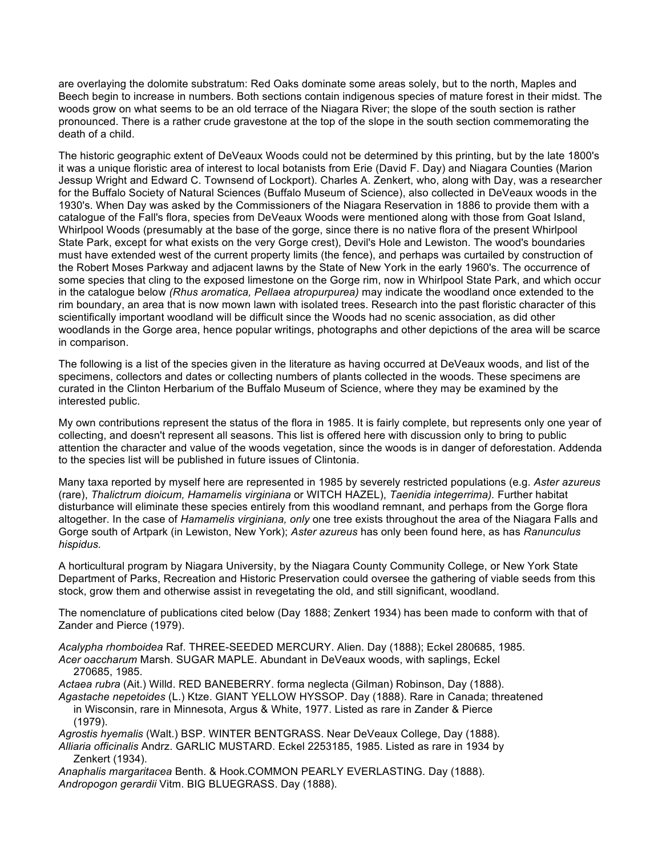are overlaying the dolomite substratum: Red Oaks dominate some areas solely, but to the north, Maples and Beech begin to increase in numbers. Both sections contain indigenous species of mature forest in their midst. The woods grow on what seems to be an old terrace of the Niagara River; the slope of the south section is rather pronounced. There is a rather crude gravestone at the top of the slope in the south section commemorating the death of a child.

The historic geographic extent of DeVeaux Woods could not be determined by this printing, but by the late 1800's it was a unique floristic area of interest to local botanists from Erie (David F. Day) and Niagara Counties (Marion Jessup Wright and Edward C. Townsend of Lockport). Charles A. Zenkert, who, along with Day, was a researcher for the Buffalo Society of Natural Sciences (Buffalo Museum of Science), also collected in DeVeaux woods in the 1930's. When Day was asked by the Commissioners of the Niagara Reservation in 1886 to provide them with a catalogue of the Fall's flora, species from DeVeaux Woods were mentioned along with those from Goat Island, Whirlpool Woods (presumably at the base of the gorge, since there is no native flora of the present Whirlpool State Park, except for what exists on the very Gorge crest), Devil's Hole and Lewiston. The wood's boundaries must have extended west of the current property limits (the fence), and perhaps was curtailed by construction of the Robert Moses Parkway and adjacent lawns by the State of New York in the early 1960's. The occurrence of some species that cling to the exposed limestone on the Gorge rim, now in Whirlpool State Park, and which occur in the catalogue below *(Rhus aromatica, Pellaea atropurpurea)* may indicate the woodland once extended to the rim boundary, an area that is now mown lawn with isolated trees. Research into the past floristic character of this scientifically important woodland will be difficult since the Woods had no scenic association, as did other woodlands in the Gorge area, hence popular writings, photographs and other depictions of the area will be scarce in comparison.

The following is a list of the species given in the literature as having occurred at DeVeaux woods, and list of the specimens, collectors and dates or collecting numbers of plants collected in the woods. These specimens are curated in the Clinton Herbarium of the Buffalo Museum of Science, where they may be examined by the interested public.

My own contributions represent the status of the flora in 1985. It is fairly complete, but represents only one year of collecting, and doesn't represent all seasons. This list is offered here with discussion only to bring to public attention the character and value of the woods vegetation, since the woods is in danger of deforestation. Addenda to the species list will be published in future issues of Clintonia.

Many taxa reported by myself here are represented in 1985 by severely restricted populations (e.g. *Aster azureus*  (rare), *Thalictrum dioicum, Hamamelis virginiana* or WITCH HAZEL), *Taenidia integerrima).* Further habitat disturbance will eliminate these species entirely from this woodland remnant, and perhaps from the Gorge flora altogether. In the case of *Hamamelis virginiana, only* one tree exists throughout the area of the Niagara Falls and Gorge south of Artpark (in Lewiston, New York); *Aster azureus* has only been found here, as has *Ranunculus hispidus.*

A horticultural program by Niagara University, by the Niagara County Community College, or New York State Department of Parks, Recreation and Historic Preservation could oversee the gathering of viable seeds from this stock, grow them and otherwise assist in revegetating the old, and still significant, woodland.

The nomenclature of publications cited below (Day 1888; Zenkert 1934) has been made to conform with that of Zander and Pierce (1979).

*Acalypha rhomboidea* Raf. THREE-SEEDED MERCURY. Alien. Day (1888); Eckel 280685, 1985. *Acer oaccharum* Marsh. SUGAR MAPLE. Abundant in DeVeaux woods, with saplings, Eckel 270685, 1985.

*Actaea rubra* (Ait.) Willd. RED BANEBERRY. forma neglecta (Gilman) Robinson, Day (1888).

*Agastache nepetoides* (L.) Ktze. GIANT YELLOW HYSSOP. Day (1888). Rare in Canada; threatened in Wisconsin, rare in Minnesota, Argus & White, 1977. Listed as rare in Zander & Pierce (1979).

*Agrostis hyemalis* (Walt.) BSP. WINTER BENTGRASS. Near DeVeaux College, Day (1888).

*Alliaria officinalis* Andrz. GARLIC MUSTARD. Eckel 2253185, 1985. Listed as rare in 1934 by Zenkert (1934).

*Anaphalis margaritacea* Benth. & Hook.COMMON PEARLY EVERLASTING. Day (1888). *Andropogon gerardii* Vitm. BIG BLUEGRASS. Day (1888).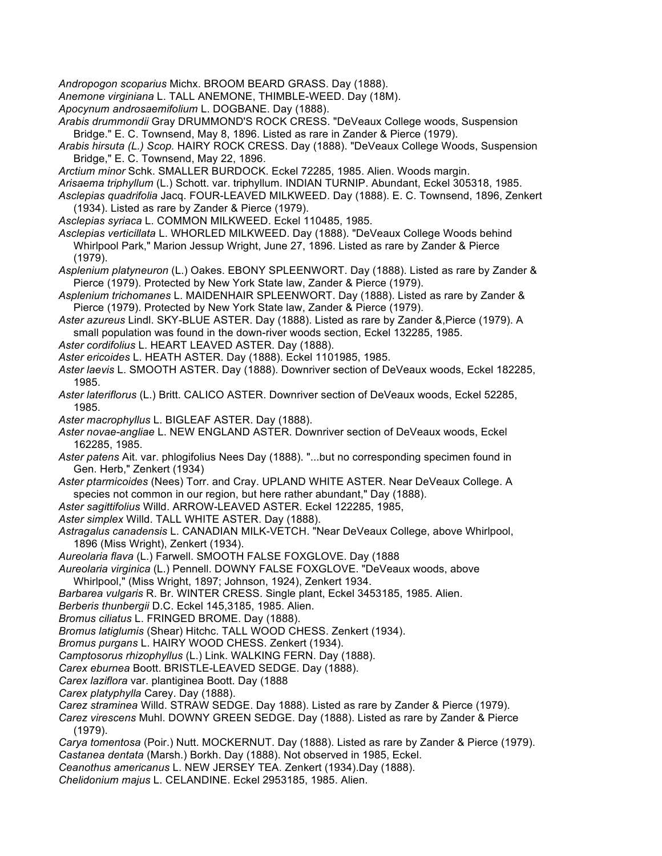*Andropogon scoparius* Michx. BROOM BEARD GRASS. Day (1888).

*Anemone virginiana* L. TALL ANEMONE, THIMBLE-WEED. Day (18M).

*Apocynum androsaemifolium* L. DOGBANE. Day (1888).

*Arabis drummondii* Gray DRUMMOND'S ROCK CRESS. "DeVeaux College woods, Suspension Bridge." E. C. Townsend, May 8, 1896. Listed as rare in Zander & Pierce (1979).

- *Arabis hirsuta (L.) Scop.* HAIRY ROCK CRESS. Day (1888). "DeVeaux College Woods, Suspension Bridge," E. C. Townsend, May 22, 1896.
- *Arctium minor* Schk. SMALLER BURDOCK. Eckel 72285, 1985. Alien. Woods margin.
- *Arisaema triphyllum* (L.) Schott. var. triphyllum. INDIAN TURNIP. Abundant, Eckel 305318, 1985.
- *Asclepias quadrifolia* Jacq. FOUR-LEAVED MILKWEED. Day (1888). E. C. Townsend, 1896, Zenkert (1934). Listed as rare by Zander & Pierce (1979).

*Asclepias syriaca* L. COMMON MILKWEED. Eckel 110485, 1985.

*Asclepias verticillata* L. WHORLED MILKWEED. Day (1888). "DeVeaux College Woods behind Whirlpool Park," Marion Jessup Wright, June 27, 1896. Listed as rare by Zander & Pierce (1979).

- *Asplenium platyneuron* (L.) Oakes. EBONY SPLEENWORT. Day (1888). Listed as rare by Zander & Pierce (1979). Protected by New York State law, Zander & Pierce (1979).
- *Asplenium trichomanes* L. MAIDENHAIR SPLEENWORT. Day (1888). Listed as rare by Zander & Pierce (1979). Protected by New York State law, Zander & Pierce (1979).
- *Aster azureus* Lindl. SKY-BLUE ASTER. Day (1888). Listed as rare by Zander &,Pierce (1979). A small population was found in the down-river woods section, Eckel 132285, 1985.
- *Aster cordifolius* L. HEART LEAVED ASTER. Day (1888).
- *Aster ericoides* L. HEATH ASTER. Day (1888). Eckel 1101985, 1985.
- *Aster laevis* L. SMOOTH ASTER. Day (1888). Downriver section of DeVeaux woods, Eckel 182285, 1985.
- *Aster lateriflorus* (L.) Britt. CALICO ASTER. Downriver section of DeVeaux woods, Eckel 52285, 1985.
- *Aster macrophyllus* L. BIGLEAF ASTER. Day (1888).
- *Aster novae-angliae* L. NEW ENGLAND ASTER. Downriver section of DeVeaux woods, Eckel 162285, 1985.
- *Aster patens* Ait. var. phlogifolius Nees Day (1888). "...but no corresponding specimen found in Gen. Herb," Zenkert (1934)
- *Aster ptarmicoides* (Nees) Torr. and Cray. UPLAND WHITE ASTER. Near DeVeaux College. A species not common in our region, but here rather abundant," Day (1888).
- *Aster sagittifolius* Willd. ARROW-LEAVED ASTER. Eckel 122285, 1985,
- *Aster simplex* Willd. TALL WHITE ASTER. Day (1888).
- *Astragalus canadensis* L. CANADIAN MILK-VETCH. "Near DeVeaux College, above Whirlpool, 1896 (Miss Wright), Zenkert (1934).
- *Aureolaria flava* (L.) Farwell. SMOOTH FALSE FOXGLOVE. Day (1888
- *Aureolaria virginica* (L.) Pennell. DOWNY FALSE FOXGLOVE. "DeVeaux woods, above Whirlpool," (Miss Wright, 1897; Johnson, 1924), Zenkert 1934.
- *Barbarea vulgaris* R. Br. WINTER CRESS. Single plant, Eckel 3453185, 1985. Alien.
- *Berberis thunbergii* D.C. Eckel 145,3185, 1985. Alien.

*Bromus ciliatus* L. FRINGED BROME. Day (1888).

- *Bromus latiglumis* (Shear) Hitchc. TALL WOOD CHESS. Zenkert (1934).
- *Bromus purgans* L. HAIRY WOOD CHESS. Zenkert (1934).
- *Camptosorus rhizophyllus* (L.) Link. WALKING FERN. Day (1888).
- *Carex eburnea* Boott. BRISTLE-LEAVED SEDGE. Day (1888).
- *Carex laziflora* var. plantiginea Boott. Day (1888
- *Carex platyphylla* Carey. Day (1888).
- *Carez straminea* Willd. STRAW SEDGE. Day 1888). Listed as rare by Zander & Pierce (1979).
- *Carez virescens* Muhl. DOWNY GREEN SEDGE. Day (1888). Listed as rare by Zander & Pierce (1979).
- *Carya tomentosa* (Poir.) Nutt. MOCKERNUT. Day (1888). Listed as rare by Zander & Pierce (1979). *Castanea dentata* (Marsh.) Borkh. Day (1888). Not observed in 1985, Eckel.
- *Ceanothus americanus* L. NEW JERSEY TEA. Zenkert (1934).Day (1888).
- *Chelidonium majus* L. CELANDINE. Eckel 2953185, 1985. Alien.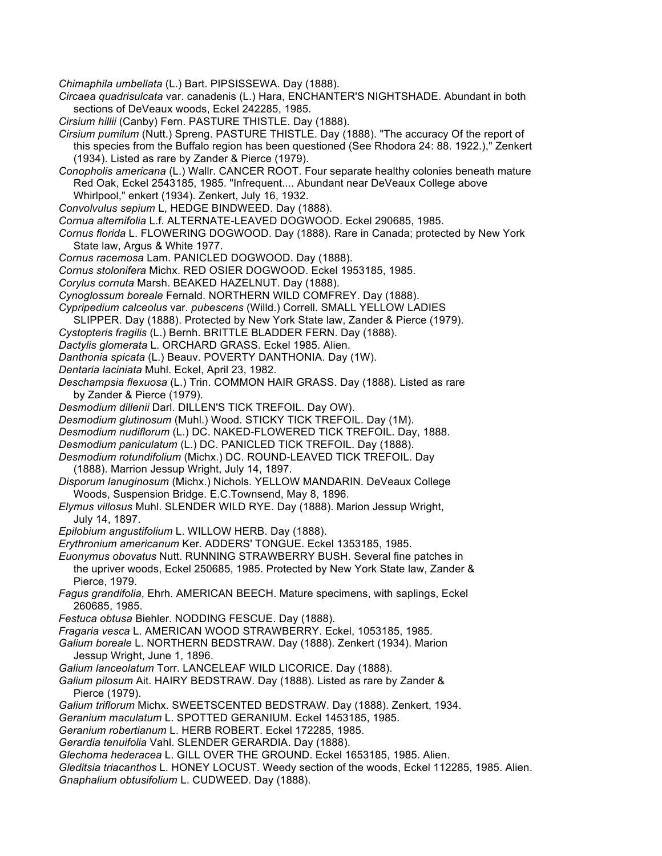*Chimaphila umbellata* (L.) Bart. PIPSISSEWA. Day (1888).

- *Circaea quadrisulcata* var. canadenis (L.) Hara, ENCHANTER'S NIGHTSHADE. Abundant in both sections of DeVeaux woods, Eckel 242285, 1985.
- *Cirsium hillii* (Canby) Fern. PASTURE THISTLE. Day (1888).
- *Cirsium pumilum* (Nutt.) Spreng. PASTURE THISTLE. Day (1888). "The accuracy Of the report of this species from the Buffalo region has been questioned (See Rhodora 24: 88. 1922.)," Zenkert (1934). Listed as rare by Zander & Pierce (1979).
- *Conopholis americana* (L.) Wallr. CANCER ROOT. Four separate healthy colonies beneath mature Red Oak, Eckel 2543185, 1985. "Infrequent.... Abundant near DeVeaux College above Whirlpool," enkert (1934). Zenkert, July 16, 1932.
- *Convolvulus sepium* L, HEDGE BINDWEED. Day (1888).
- *Cornua alternifolia* L.f. ALTERNATE-LEAVED DOGWOOD. Eckel 290685, 1985.
- *Cornus florida* L. FLOWERING DOGWOOD. Day (1888). Rare in Canada; protected by New York State law, Argus & White 1977.
- *Cornus racemosa* Lam. PANICLED DOGWOOD. Day (1888).
- *Cornus stolonifera* Michx. RED OSIER DOGWOOD. Eckel 1953185, 1985.
- *Corylus cornuta* Marsh. BEAKED HAZELNUT. Day (1888).
- *Cynoglossum boreale* Fernald. NORTHERN WILD COMFREY. Day (1888).
- *Cypripedium calceolus* var. *pubescens* (Willd.) Correll. SMALL YELLOW LADIES
- SLIPPER. Day (1888). Protected by New York State law, Zander & Pierce (1979).
- *Cystopteris fragilis* (L.) Bernh. BRITTLE BLADDER FERN. Day (1888).
- *Dactylis glomerata* L. ORCHARD GRASS. Eckel 1985. Alien.
- *Danthonia spicata* (L.) Beauv. POVERTY DANTHONIA. Day (1W).
- *Dentaria laciniata* Muhl. Eckel, April 23, 1982.
- *Deschampsia flexuosa* (L.) Trin. COMMON HAIR GRASS. Day (1888). Listed as rare by Zander & Pierce (1979).
- *Desmodium dillenii* Darl. DILLEN'S TICK TREFOIL. Day OW).
- *Desmodium glutinosum* (Muhl.) Wood. STICKY TICK TREFOIL. Day (1M).
- *Desmodium nudiflorum* (L.) DC. NAKED-FLOWERED TICK TREFOIL. Day, 1888.
- *Desmodium paniculatum* (L.) DC. PANICLED TICK TREFOIL. Day (1888).
- *Desmodium rotundifolium* (Michx.) DC. ROUND-LEAVED TICK TREFOIL. Day (1888). Marrion Jessup Wright, July 14, 1897.
- *Disporum lanuginosum* (Michx.) Nichols. YELLOW MANDARIN. DeVeaux College Woods, Suspension Bridge. E.C.Townsend, May 8, 1896.
- *Elymus villosus* Muhl. SLENDER WILD RYE. Day (1888). Marion Jessup Wright, July 14, 1897.
- *Epilobium angustifolium* L. WILLOW HERB. Day (1888).
- *Erythronium americanum* Ker. ADDERS' TONGUE. Eckel 1353185, 1985.
- *Euonymus obovatus* Nutt. RUNNING STRAWBERRY BUSH. Several fine patches in the upriver woods, Eckel 250685, 1985. Protected by New York State law, Zander & Pierce, 1979.
- *Fagus grandifolia*, Ehrh. AMERICAN BEECH. Mature specimens, with saplings, Eckel 260685, 1985.
- *Festuca obtusa* Biehler. NODDING FESCUE. Day (1888).
- *Fragaria vesca* L. AMERICAN WOOD STRAWBERRY. Eckel, 1053185, 1985.
- *Galium boreale* L. NORTHERN BEDSTRAW. Day (1888). Zenkert (1934). Marion Jessup Wright, June 1, 1896.
- *Galium lanceolatum* Torr. LANCELEAF WILD LICORICE. Day (1888).
- *Galium pilosum* Ait. HAIRY BEDSTRAW. Day (1888). Listed as rare by Zander & Pierce (1979).
- *Galium triflorum* Michx. SWEETSCENTED BEDSTRAW. Day (1888). Zenkert, 1934.
- *Geranium maculatum* L. SPOTTED GERANIUM. Eckel 1453185, 1985.
- *Geranium robertianum* L. HERB ROBERT. Eckel 172285, 1985.
- *Gerardia tenuifolia* Vahl. SLENDER GERARDIA. Day (1888).
- *Glechoma hederacea* L. GILL OVER THE GROUND. Eckel 1653185, 1985. Alien.
- *Gleditsia triacanthos* L. HONEY LOCUST. Weedy section of the woods, Eckel 112285, 1985. Alien. *Gnaphalium obtusifolium* L. CUDWEED. Day (1888).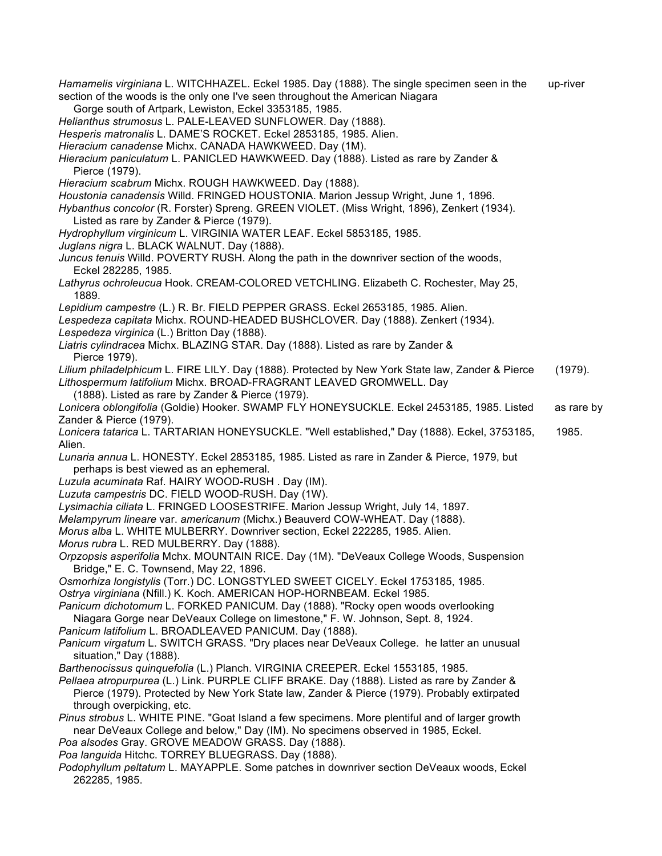*Hamamelis virginiana* L. WITCHHAZEL. Eckel 1985. Day (1888). The single specimen seen in the up-river section of the woods is the only one I've seen throughout the American Niagara Gorge south of Artpark, Lewiston, Eckel 3353185, 1985. *Helianthus strumosus* L. PALE-LEAVED SUNFLOWER. Day (1888). *Hesperis matronalis* L. DAME'S ROCKET. Eckel 2853185, 1985. Alien. *Hieracium canadense* Michx. CANADA HAWKWEED. Day (1M). *Hieracium paniculatum* L. PANICLED HAWKWEED. Day (1888). Listed as rare by Zander & Pierce (1979). *Hieracium scabrum* Michx. ROUGH HAWKWEED. Day (1888). *Houstonia canadensis* Willd. FRINGED HOUSTONIA. Marion Jessup Wright, June 1, 1896. *Hybanthus concolor* (R. Forster) Spreng. GREEN VIOLET. (Miss Wright, 1896), Zenkert (1934). Listed as rare by Zander & Pierce (1979). *Hydrophyllum virginicum* L. VIRGINIA WATER LEAF. Eckel 5853185, 1985. *Juglans nigra* L. BLACK WALNUT. Day (1888). *Juncus tenuis* Willd. POVERTY RUSH. Along the path in the downriver section of the woods, Eckel 282285, 1985. *Lathyrus ochroleucua* Hook. CREAM-COLORED VETCHLING. Elizabeth C. Rochester, May 25, 1889. *Lepidium campestre* (L.) R. Br. FIELD PEPPER GRASS. Eckel 2653185, 1985. Alien. *Lespedeza capitata* Michx. ROUND-HEADED BUSHCLOVER. Day (1888). Zenkert (1934). *Lespedeza virginica* (L.) Britton Day (1888). *Liatris cylindracea* Michx. BLAZING STAR. Day (1888). Listed as rare by Zander & Pierce 1979). *Lilium philadelphicum* L. FIRE LILY. Day (1888). Protected by New York State law, Zander & Pierce (1979). *Lithospermum latifolium* Michx. BROAD-FRAGRANT LEAVED GROMWELL. Day (1888). Listed as rare by Zander & Pierce (1979). *Lonicera oblongifolia* (Goldie) Hooker. SWAMP FLY HONEYSUCKLE. Eckel 2453185, 1985. Listed as rare by Zander & Pierce (1979). *Lonicera tatarica* L. TARTARIAN HONEYSUCKLE. "Well established," Day (1888). Eckel, 3753185, 1985. Alien. *Lunaria annua* L. HONESTY. Eckel 2853185, 1985. Listed as rare in Zander & Pierce, 1979, but perhaps is best viewed as an ephemeral. *Luzula acuminata* Raf. HAIRY WOOD-RUSH . Day (IM). *Luzuta campestris* DC. FIELD WOOD-RUSH. Day (1W). *Lysimachia ciliata* L. FRINGED LOOSESTRIFE. Marion Jessup Wright, July 14, 1897. *Melampyrum lineare* var. *americanum* (Michx.) Beauverd COW-WHEAT. Day (1888). *Morus alba* L. WHITE MULBERRY. Downriver section, Eckel 222285, 1985. Alien. *Morus rubra* L. RED MULBERRY. Day (1888). *Orpzopsis asperifolia* Mchx. MOUNTAIN RICE. Day (1M). "DeVeaux College Woods, Suspension Bridge," E. C. Townsend, May 22, 1896. *Osmorhiza longistylis* (Torr.) DC. LONGSTYLED SWEET CICELY. Eckel 1753185, 1985. *Ostrya virginiana* (Nfill.) K. Koch. AMERICAN HOP-HORNBEAM. Eckel 1985. *Panicum dichotomum* L. FORKED PANICUM. Day (1888). "Rocky open woods overlooking Niagara Gorge near DeVeaux College on limestone," F. W. Johnson, Sept. 8, 1924. *Panicum latifolium* L. BROADLEAVED PANICUM. Day (1888). *Panicum virgatum* L. SWITCH GRASS. "Dry places near DeVeaux College. he latter an unusual situation," Day (1888). *Barthenocissus quinquefolia* (L.) Planch. VIRGINIA CREEPER. Eckel 1553185, 1985. *Pellaea atropurpurea* (L.) Link. PURPLE CLIFF BRAKE. Day (1888). Listed as rare by Zander & Pierce (1979). Protected by New York State law, Zander & Pierce (1979). Probably extirpated through overpicking, etc. *Pinus strobus* L. WHITE PINE. "Goat Island a few specimens. More plentiful and of larger growth near DeVeaux College and below," Day (IM). No specimens observed in 1985, Eckel. *Poa alsodes* Gray. GROVE MEADOW GRASS. Day (1888). *Poa languida* Hitchc. TORREY BLUEGRASS. Day (1888). *Podophyllum peltatum* L. MAYAPPLE. Some patches in downriver section DeVeaux woods, Eckel 262285, 1985.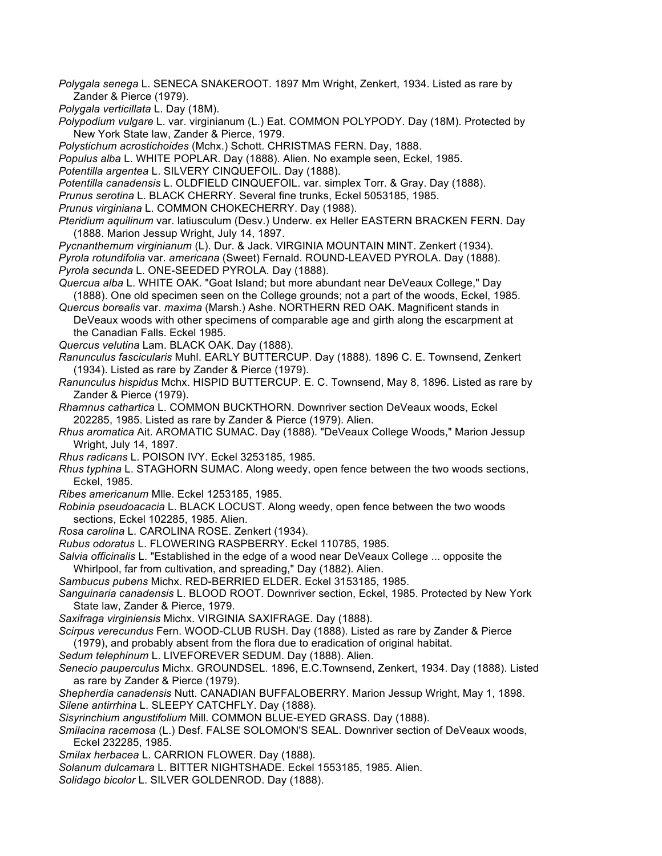- *Polygala senega* L. SENECA SNAKEROOT. 1897 Mm Wright, Zenkert, 1934. Listed as rare by Zander & Pierce (1979).
- *Polygala verticillata* L. Day (18M).
- *Polypodium vulgare* L. var. virginianum (L.) Eat. COMMON POLYPODY. Day (18M). Protected by New York State law, Zander & Pierce, 1979.
- *Polystichum acrostichoides* (Mchx.) Schott. CHRISTMAS FERN. Day, 1888.
- *Populus alba* L. WHITE POPLAR. Day (1888). Alien. No example seen, Eckel, 1985.
- *Potentilla argentea* L. SILVERY CINQUEFOIL. Day (1888).
- *Potentilla canadensis* L. OLDFIELD CINQUEFOIL. var. simplex Torr. & Gray. Day (1888).
- *Prunus serotina* L. BLACK CHERRY. Several fine trunks, Eckel 5053185, 1985.
- *Prunus virginiana* L. COMMON CHOKECHERRY. Day (1988).
- *Pteridium aquilinum* var. latiusculum (Desv.) Underw. ex Heller EASTERN BRACKEN FERN. Day (1888. Marion Jessup Wright, July 14, 1897.
- *Pycnanthemum virginianum* (L). Dur. & Jack. VIRGINIA MOUNTAIN MINT. Zenkert (1934).
- *Pyrola rotundifolia* var. *americana* (Sweet) Fernald. ROUND-LEAVED PYROLA. Day (1888). *Pyrola secunda* L. ONE-SEEDED PYROLA. Day (1888).
- *Quercua alba* L. WHITE OAK. "Goat Island; but more abundant near DeVeaux College," Day (1888). One old specimen seen on the College grounds; not a part of the woods, Eckel, 1985.
- *Quercus borealis* var. *maxima* (Marsh.) Ashe. NORTHERN RED OAK. Magnificent stands in DeVeaux woods with other specimens of comparable age and girth along the escarpment at the Canadian Falls. Eckel 1985.
- *Quercus velutina* Lam. BLACK OAK. Day (1888).
- *Ranunculus fascicularis* Muhl. EARLY BUTTERCUP. Day (1888). 1896 C. E. Townsend, Zenkert (1934). Listed as rare by Zander & Pierce (1979).
- *Ranunculus hispidus* Mchx. HISPID BUTTERCUP. E. C. Townsend, May 8, 1896. Listed as rare by Zander & Pierce (1979).
- *Rhamnus cathartica* L. COMMON BUCKTHORN. Downriver section DeVeaux woods, Eckel 202285, 1985. Listed as rare by Zander & Pierce (1979). Alien.
- *Rhus aromatica* Ait. AROMATIC SUMAC. Day (1888). "DeVeaux College Woods," Marion Jessup Wright, July 14, 1897.
- *Rhus radicans* L. POISON IVY. Eckel 3253185, 1985.
- *Rhus typhina* L. STAGHORN SUMAC. Along weedy, open fence between the two woods sections, Eckel, 1985.
- *Ribes americanum* Mlle. Eckel 1253185, 1985.
- *Robinia pseudoacacia* L. BLACK LOCUST. Along weedy, open fence between the two woods sections, Eckel 102285, 1985. Alien.
- *Rosa carolina* L. CAROLINA ROSE. Zenkert (1934).
- *Rubus odoratus* L. FLOWERING RASPBERRY. Eckel 110785, 1985.
- *Salvia officinalis* L. "Established in the edge of a wood near DeVeaux College ... opposite the Whirlpool, far from cultivation, and spreading," Day (1882). Alien.
- *Sambucus pubens* Michx. RED-BERRIED ELDER. Eckel 3153185, 1985.
- *Sanguinaria canadensis* L. BLOOD ROOT. Downriver section, Eckel, 1985. Protected by New York State law, Zander & Pierce, 1979.
- *Saxifraga virginiensis* Michx. VIRGINIA SAXIFRAGE. Day (1888).
- *Scirpus verecundus* Fern. WOOD-CLUB RUSH. Day (1888). Listed as rare by Zander & Pierce (1979), and probably absent from the flora due to eradication of original habitat.
- *Sedum telephinum* L. LIVEFOREVER SEDUM. Day (1888). Alien.
- *Senecio pauperculus* Michx. GROUNDSEL. 1896, E.C.Townsend, Zenkert, 1934. Day (1888). Listed as rare by Zander & Pierce (1979).
- *Shepherdia canadensis* Nutt. CANADIAN BUFFALOBERRY. Marion Jessup Wright, May 1, 1898. *Silene antirrhina* L. SLEEPY CATCHFLY. Day (1888).
- *Sisyrinchium angustifolium* Mill. COMMON BLUE-EYED GRASS. Day (1888).
- *Smilacina racemosa* (L.) Desf. FALSE SOLOMON'S SEAL. Downriver section of DeVeaux woods, Eckel 232285, 1985.
- *Smilax herbacea* L. CARRION FLOWER. Day (1888).
- *Solanum dulcamara* L. BITTER NIGHTSHADE. Eckel 1553185, 1985. Alien.
- *Solidago bicolor* L. SILVER GOLDENROD. Day (1888).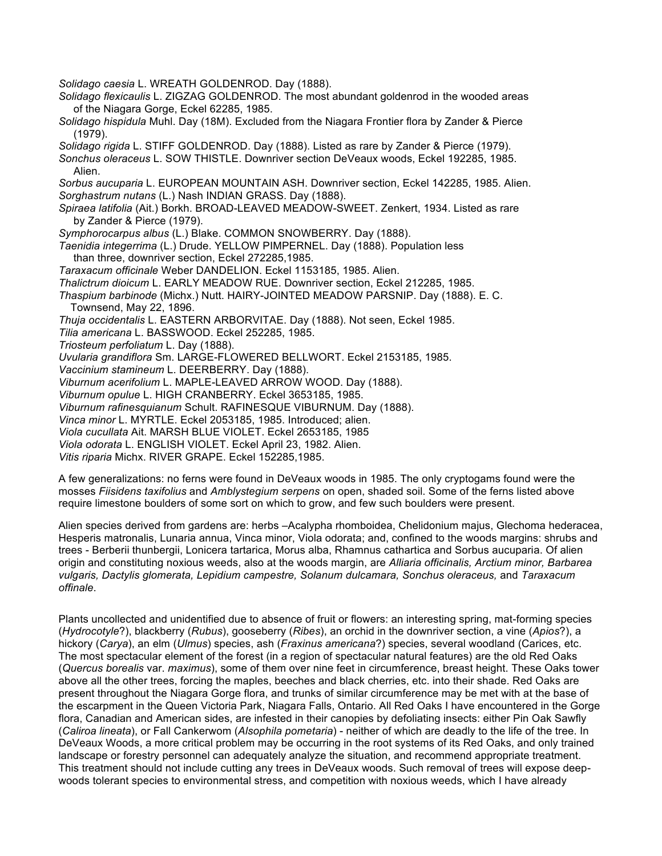*Solidago caesia* L. WREATH GOLDENROD. Day (1888).

- *Solidago flexicaulis* L. ZIGZAG GOLDENROD. The most abundant goldenrod in the wooded areas of the Niagara Gorge, Eckel 62285, 1985.
- *Solidago hispidula* Muhl. Day (18M). Excluded from the Niagara Frontier flora by Zander & Pierce (1979).

*Solidago rigida* L. STIFF GOLDENROD. Day (1888). Listed as rare by Zander & Pierce (1979).

*Sonchus oleraceus* L. SOW THISTLE. Downriver section DeVeaux woods, Eckel 192285, 1985. Alien.

*Sorbus aucuparia* L. EUROPEAN MOUNTAIN ASH. Downriver section, Eckel 142285, 1985. Alien. *Sorghastrum nutans* (L.) Nash INDIAN GRASS. Day (1888).

*Spiraea latifolia* (Ait.) Borkh. BROAD-LEAVED MEADOW-SWEET. Zenkert, 1934. Listed as rare by Zander & Pierce (1979).

*Symphorocarpus albus* (L.) Blake. COMMON SNOWBERRY. Day (1888).

*Taenidia integerrima* (L.) Drude. YELLOW PIMPERNEL. Day (1888). Population less than three, downriver section, Eckel 272285,1985.

*Taraxacum officinale* Weber DANDELION. Eckel 1153185, 1985. Alien.

- *Thalictrum dioicum* L. EARLY MEADOW RUE. Downriver section, Eckel 212285, 1985.
- *Thaspium barbinode* (Michx.) Nutt. HAIRY-JOINTED MEADOW PARSNIP. Day (1888). E. C. Townsend, May 22, 1896.

*Thuja occidentalis* L. EASTERN ARBORVITAE. Day (1888). Not seen, Eckel 1985.

*Tilia americana* L. BASSWOOD. Eckel 252285, 1985.

*Triosteum perfoliatum* L. Day (1888).

*Uvularia grandiflora* Sm. LARGE-FLOWERED BELLWORT. Eckel 2153185, 1985.

*Vaccinium stamineum* L. DEERBERRY. Day (1888).

*Viburnum acerifolium* L. MAPLE-LEAVED ARROW WOOD. Day (1888).

*Viburnum opulue* L. HIGH CRANBERRY. Eckel 3653185, 1985.

*Viburnum rafinesquianum* Schult. RAFINESQUE VIBURNUM. Day (1888).

*Vinca minor* L. MYRTLE. Eckel 2053185, 1985. Introduced; alien.

*Viola cucullata* Ait. MARSH BLUE VIOLET. Eckel 2653185, 1985

*Viola odorata* L. ENGLISH VIOLET. Eckel April 23, 1982. Alien.

*Vitis riparia* Michx. RIVER GRAPE. Eckel 152285,1985.

A few generalizations: no ferns were found in DeVeaux woods in 1985. The only cryptogams found were the mosses *Fiisidens taxifolius* and *Amblystegium serpens* on open, shaded soil. Some of the ferns listed above require limestone boulders of some sort on which to grow, and few such boulders were present.

Alien species derived from gardens are: herbs –Acalypha rhomboidea, Chelidonium majus, Glechoma hederacea, Hesperis matronalis, Lunaria annua, Vinca minor, Viola odorata; and, confined to the woods margins: shrubs and trees - Berberii thunbergii, Lonicera tartarica, Morus alba, Rhamnus cathartica and Sorbus aucuparia. Of alien origin and constituting noxious weeds, also at the woods margin, are *Alliaria officinalis, Arctium minor, Barbarea vulgaris, Dactylis glomerata, Lepidium campestre, Solanum dulcamara, Sonchus oleraceus,* and *Taraxacum offinale*.

Plants uncollected and unidentified due to absence of fruit or flowers: an interesting spring, mat-forming species (*Hydrocotyle*?), blackberry (*Rubus*), gooseberry (*Ribes*), an orchid in the downriver section, a vine (*Apios*?), a hickory (*Carya*), an elm (*Ulmus*) species, ash (*Fraxinus americana*?) species, several woodland (Carices, etc. The most spectacular element of the forest (in a region of spectacular natural features) are the old Red Oaks (*Quercus borealis* var. *maximus*), some of them over nine feet in circumference, breast height. These Oaks tower above all the other trees, forcing the maples, beeches and black cherries, etc. into their shade. Red Oaks are present throughout the Niagara Gorge flora, and trunks of similar circumference may be met with at the base of the escarpment in the Queen Victoria Park, Niagara Falls, Ontario. All Red Oaks I have encountered in the Gorge flora, Canadian and American sides, are infested in their canopies by defoliating insects: either Pin Oak Sawfly (*Caliroa lineata*), or Fall Cankerwom (*Alsophila pometaria*) - neither of which are deadly to the life of the tree. In DeVeaux Woods, a more critical problem may be occurring in the root systems of its Red Oaks, and only trained landscape or forestry personnel can adequately analyze the situation, and recommend appropriate treatment. This treatment should not include cutting any trees in DeVeaux woods. Such removal of trees will expose deepwoods tolerant species to environmental stress, and competition with noxious weeds, which I have already